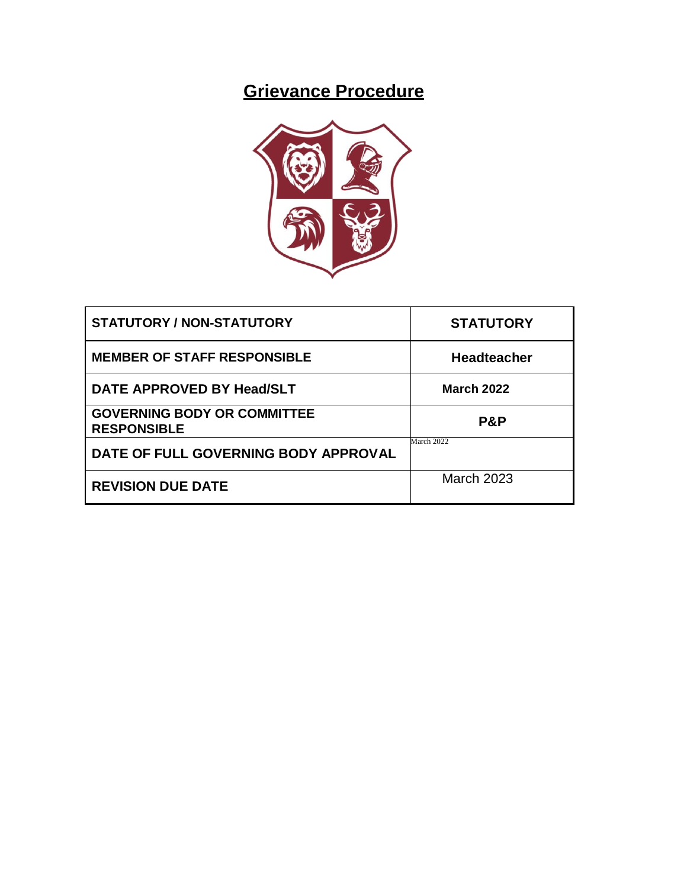# **Grievance Procedure**



| <b>STATUTORY / NON-STATUTORY</b>                         | <b>STATUTORY</b>   |
|----------------------------------------------------------|--------------------|
| <b>MEMBER OF STAFF RESPONSIBLE</b>                       | <b>Headteacher</b> |
| DATE APPROVED BY Head/SLT                                | <b>March 2022</b>  |
| <b>GOVERNING BODY OR COMMITTEE</b><br><b>RESPONSIBLE</b> | P&P                |
| DATE OF FULL GOVERNING BODY APPROVAL                     | March 2022         |
| <b>REVISION DUE DATE</b>                                 | March 2023         |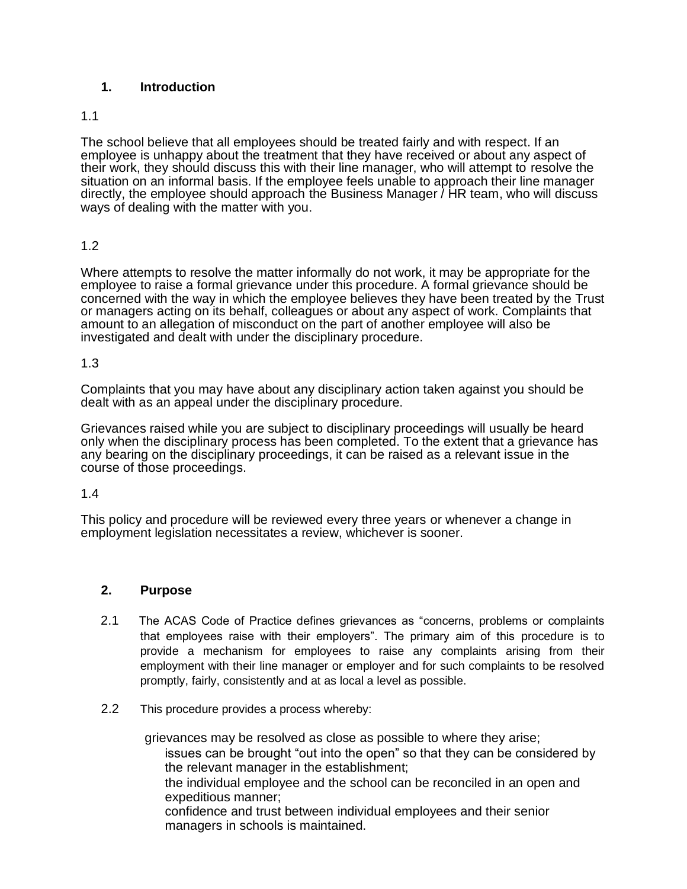# **1. Introduction**

#### 1.1

The school believe that all employees should be treated fairly and with respect. If an employee is unhappy about the treatment that they have received or about any aspect of their work, they should discuss this with their line manager, who will attempt to resolve the situation on an informal basis. If the employee feels unable to approach their line manager directly, the employee should approach the Business Manager / HR team, who will discuss ways of dealing with the matter with you.

# 1.2

Where attempts to resolve the matter informally do not work, it may be appropriate for the employee to raise a formal grievance under this procedure. A formal grievance should be concerned with the way in which the employee believes they have been treated by the Trust or managers acting on its behalf, colleagues or about any aspect of work. Complaints that amount to an allegation of misconduct on the part of another employee will also be investigated and dealt with under the disciplinary procedure.

#### 1.3

Complaints that you may have about any disciplinary action taken against you should be dealt with as an appeal under the disciplinary procedure.

Grievances raised while you are subject to disciplinary proceedings will usually be heard only when the disciplinary process has been completed. To the extent that a grievance has any bearing on the disciplinary proceedings, it can be raised as a relevant issue in the course of those proceedings.

#### 1.4

This policy and procedure will be reviewed every three years or whenever a change in employment legislation necessitates a review, whichever is sooner.

#### **2. Purpose**

- 2.1 The ACAS Code of Practice defines grievances as "concerns, problems or complaints that employees raise with their employers". The primary aim of this procedure is to provide a mechanism for employees to raise any complaints arising from their employment with their line manager or employer and for such complaints to be resolved promptly, fairly, consistently and at as local a level as possible.
- 2.2 This procedure provides a process whereby:

grievances may be resolved as close as possible to where they arise; issues can be brought "out into the open" so that they can be considered by the relevant manager in the establishment; the individual employee and the school can be reconciled in an open and expeditious manner; confidence and trust between individual employees and their senior managers in schools is maintained.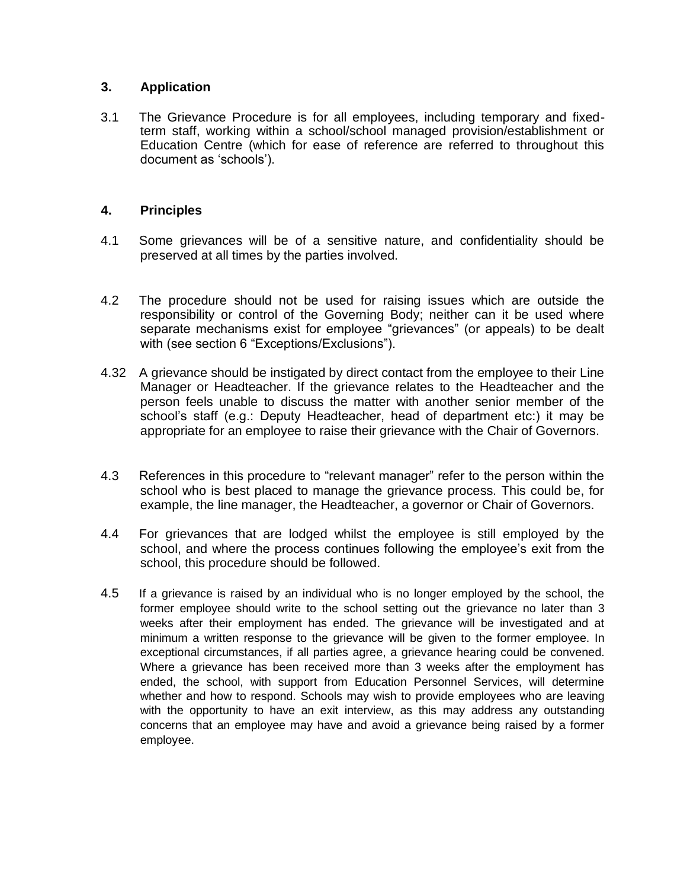# **3. Application**

3.1 The Grievance Procedure is for all employees, including temporary and fixedterm staff, working within a school/school managed provision/establishment or Education Centre (which for ease of reference are referred to throughout this document as 'schools').

# **4. Principles**

- 4.1 Some grievances will be of a sensitive nature, and confidentiality should be preserved at all times by the parties involved.
- 4.2 The procedure should not be used for raising issues which are outside the responsibility or control of the Governing Body; neither can it be used where separate mechanisms exist for employee "grievances" (or appeals) to be dealt with (see section 6 "Exceptions/Exclusions").
- 4.32 A grievance should be instigated by direct contact from the employee to their Line Manager or Headteacher. If the grievance relates to the Headteacher and the person feels unable to discuss the matter with another senior member of the school's staff (e.g.: Deputy Headteacher, head of department etc:) it may be appropriate for an employee to raise their grievance with the Chair of Governors.
- 4.3 References in this procedure to "relevant manager" refer to the person within the school who is best placed to manage the grievance process. This could be, for example, the line manager, the Headteacher, a governor or Chair of Governors.
- 4.4 For grievances that are lodged whilst the employee is still employed by the school, and where the process continues following the employee's exit from the school, this procedure should be followed.
- 4.5 If a grievance is raised by an individual who is no longer employed by the school, the former employee should write to the school setting out the grievance no later than 3 weeks after their employment has ended. The grievance will be investigated and at minimum a written response to the grievance will be given to the former employee. In exceptional circumstances, if all parties agree, a grievance hearing could be convened. Where a grievance has been received more than 3 weeks after the employment has ended, the school, with support from Education Personnel Services, will determine whether and how to respond. Schools may wish to provide employees who are leaving with the opportunity to have an exit interview, as this may address any outstanding concerns that an employee may have and avoid a grievance being raised by a former employee.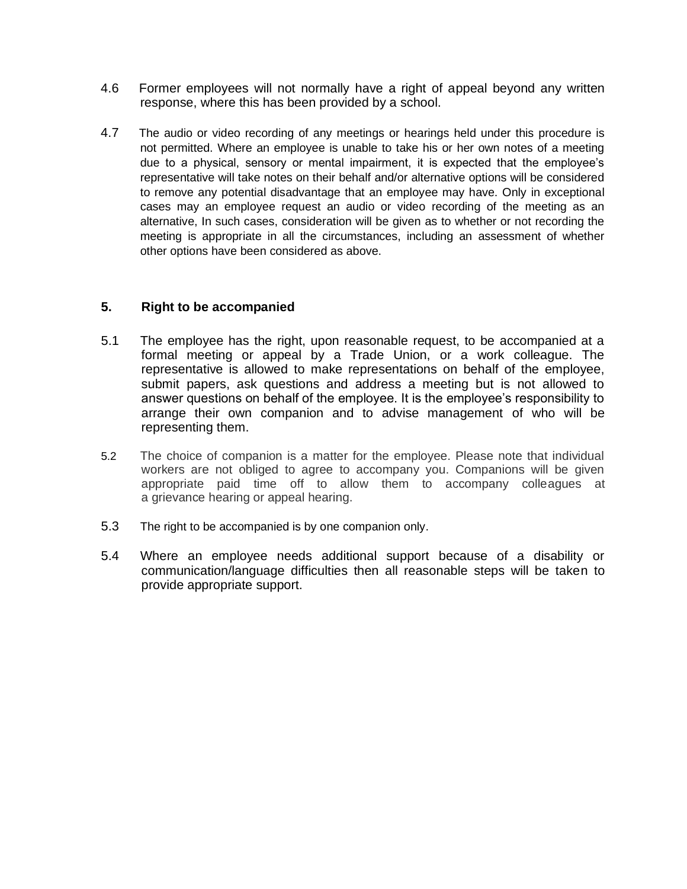- 4.6 Former employees will not normally have a right of appeal beyond any written response, where this has been provided by a school.
- 4.7 The audio or video recording of any meetings or hearings held under this procedure is not permitted. Where an employee is unable to take his or her own notes of a meeting due to a physical, sensory or mental impairment, it is expected that the employee's representative will take notes on their behalf and/or alternative options will be considered to remove any potential disadvantage that an employee may have. Only in exceptional cases may an employee request an audio or video recording of the meeting as an alternative, In such cases, consideration will be given as to whether or not recording the meeting is appropriate in all the circumstances, including an assessment of whether other options have been considered as above.

# **5. Right to be accompanied**

- 5.1 The employee has the right, upon reasonable request, to be accompanied at a formal meeting or appeal by a Trade Union, or a work colleague. The representative is allowed to make representations on behalf of the employee, submit papers, ask questions and address a meeting but is not allowed to answer questions on behalf of the employee. It is the employee's responsibility to arrange their own companion and to advise management of who will be representing them.
- 5.2 The choice of companion is a matter for the employee. Please note that individual workers are not obliged to agree to accompany you. Companions will be given appropriate paid time off to allow them to accompany colleagues at a grievance hearing or appeal hearing.
- 5.3 The right to be accompanied is by one companion only.
- 5.4 Where an employee needs additional support because of a disability or communication/language difficulties then all reasonable steps will be taken to provide appropriate support.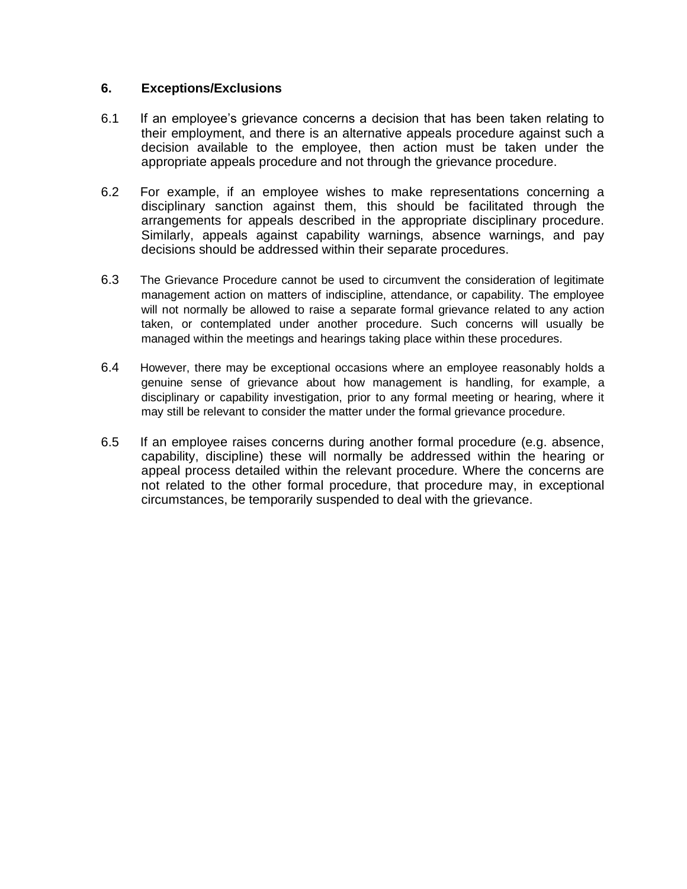#### **6. Exceptions/Exclusions**

- 6.1 If an employee's grievance concerns a decision that has been taken relating to their employment, and there is an alternative appeals procedure against such a decision available to the employee, then action must be taken under the appropriate appeals procedure and not through the grievance procedure.
- 6.2 For example, if an employee wishes to make representations concerning a disciplinary sanction against them, this should be facilitated through the arrangements for appeals described in the appropriate disciplinary procedure. Similarly, appeals against capability warnings, absence warnings, and pay decisions should be addressed within their separate procedures.
- 6.3 The Grievance Procedure cannot be used to circumvent the consideration of legitimate management action on matters of indiscipline, attendance, or capability. The employee will not normally be allowed to raise a separate formal grievance related to any action taken, or contemplated under another procedure. Such concerns will usually be managed within the meetings and hearings taking place within these procedures.
- 6.4 However, there may be exceptional occasions where an employee reasonably holds a genuine sense of grievance about how management is handling, for example, a disciplinary or capability investigation, prior to any formal meeting or hearing, where it may still be relevant to consider the matter under the formal grievance procedure.
- 6.5 If an employee raises concerns during another formal procedure (e.g. absence, capability, discipline) these will normally be addressed within the hearing or appeal process detailed within the relevant procedure. Where the concerns are not related to the other formal procedure, that procedure may, in exceptional circumstances, be temporarily suspended to deal with the grievance.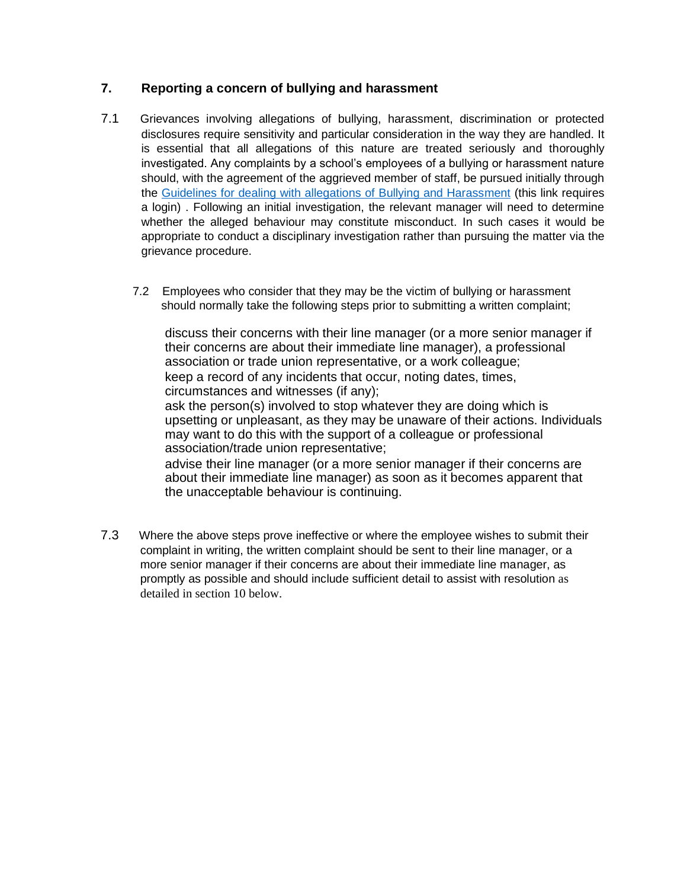# **7. Reporting a concern of bullying and harassment**

- 7.1 Grievances involving allegations of bullying, harassment, discrimination or protected disclosures require sensitivity and particular consideration in the way they are handled. It is essential that all allegations of this nature are treated seriously and thoroughly investigated. Any complaints by a school's employees of a bullying or harassment nature should, with the agreement of the aggrieved member of staff, be pursued initially through the [Guidelines for dealing with allegations of Bullying and Harassment](Grievances%20involving%20allegations%20of%20bullying,%20harassment,%20discrimination%20or%20protected%20disclosures%20require%20sensitivity%20and%20particular%20consideration%20in%20the%20way%20they%20are%20handled.%20It%20is%20essential%20that%20all%20allegations%20of%20this%20nature%20are%20treated%20seriously%20and%20thoroughly%20investigated.%20Any%20complaints%20by%20a%20school’s%20employees%20of%20a%20bullying%20or%20harassment%20nature%20should,%20with%20the%20agreement%20of%20the%20aggrieved%20member%20of%20staff,%20be%20pursued%20initially%20through%20the%20Guidelines%20for%20dealing%20with%20allegations%20of%20Bullying%20and%20Harassment.%20Following%20an%20initial%20investigation,%20the%20relevant%20manager%20will%20need%20to%20determine%20whether%20the%20alleged%20behaviour%20may%20constitute%20misconduct.%20In%20such%20cases%20it%20would%20be%20appropriate%20to%20conduct%20a%20disciplinary%20investigation%20rather%20than%20pursuing%20the%20matter%20via%20the%20grievance%20procedure.) (this link requires a login) . Following an initial investigation, the relevant manager will need to determine whether the alleged behaviour may constitute misconduct. In such cases it would be appropriate to conduct a disciplinary investigation rather than pursuing the matter via the grievance procedure.
	- 7.2 Employees who consider that they may be the victim of bullying or harassment should normally take the following steps prior to submitting a written complaint;

discuss their concerns with their line manager (or a more senior manager if their concerns are about their immediate line manager), a professional association or trade union representative, or a work colleague; keep a record of any incidents that occur, noting dates, times, circumstances and witnesses (if any);

ask the person(s) involved to stop whatever they are doing which is upsetting or unpleasant, as they may be unaware of their actions. Individuals may want to do this with the support of a colleague or professional association/trade union representative;

advise their line manager (or a more senior manager if their concerns are about their immediate line manager) as soon as it becomes apparent that the unacceptable behaviour is continuing.

7.3 Where the above steps prove ineffective or where the employee wishes to submit their complaint in writing, the written complaint should be sent to their line manager, or a more senior manager if their concerns are about their immediate line manager, as promptly as possible and should include sufficient detail to assist with resolution as detailed in section 10 below.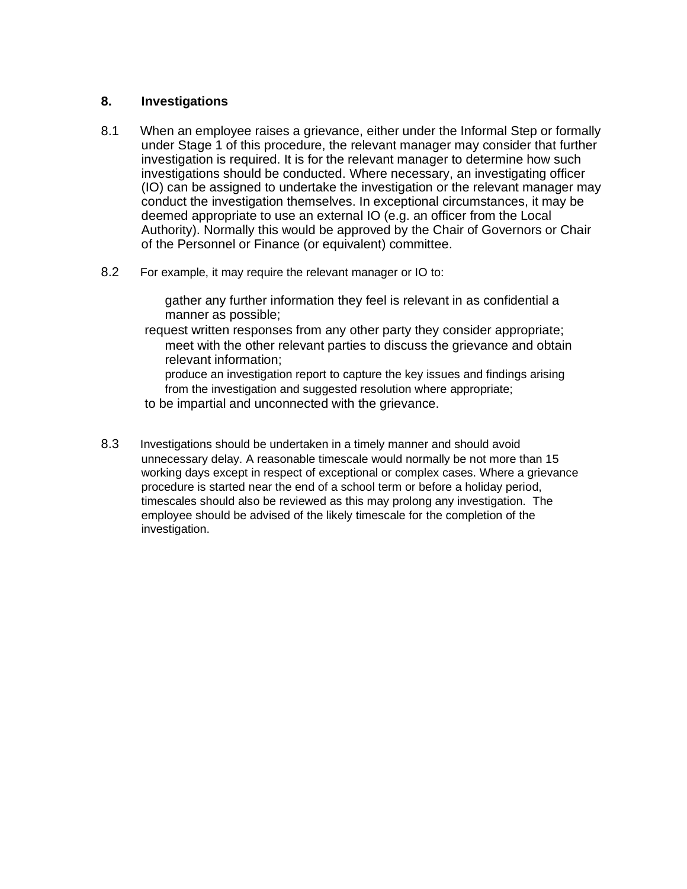#### **8. Investigations**

- 8.1 When an employee raises a grievance, either under the Informal Step or formally under Stage 1 of this procedure, the relevant manager may consider that further investigation is required. It is for the relevant manager to determine how such investigations should be conducted. Where necessary, an investigating officer (IO) can be assigned to undertake the investigation or the relevant manager may conduct the investigation themselves. In exceptional circumstances, it may be deemed appropriate to use an external IO (e.g. an officer from the Local Authority). Normally this would be approved by the Chair of Governors or Chair of the Personnel or Finance (or equivalent) committee.
- 8.2 For example, it may require the relevant manager or IO to:

gather any further information they feel is relevant in as confidential a manner as possible;

request written responses from any other party they consider appropriate; meet with the other relevant parties to discuss the grievance and obtain relevant information;

produce an investigation report to capture the key issues and findings arising from the investigation and suggested resolution where appropriate;

- to be impartial and unconnected with the grievance.
- 8.3 Investigations should be undertaken in a timely manner and should avoid unnecessary delay. A reasonable timescale would normally be not more than 15 working days except in respect of exceptional or complex cases. Where a grievance procedure is started near the end of a school term or before a holiday period, timescales should also be reviewed as this may prolong any investigation. The employee should be advised of the likely timescale for the completion of the investigation.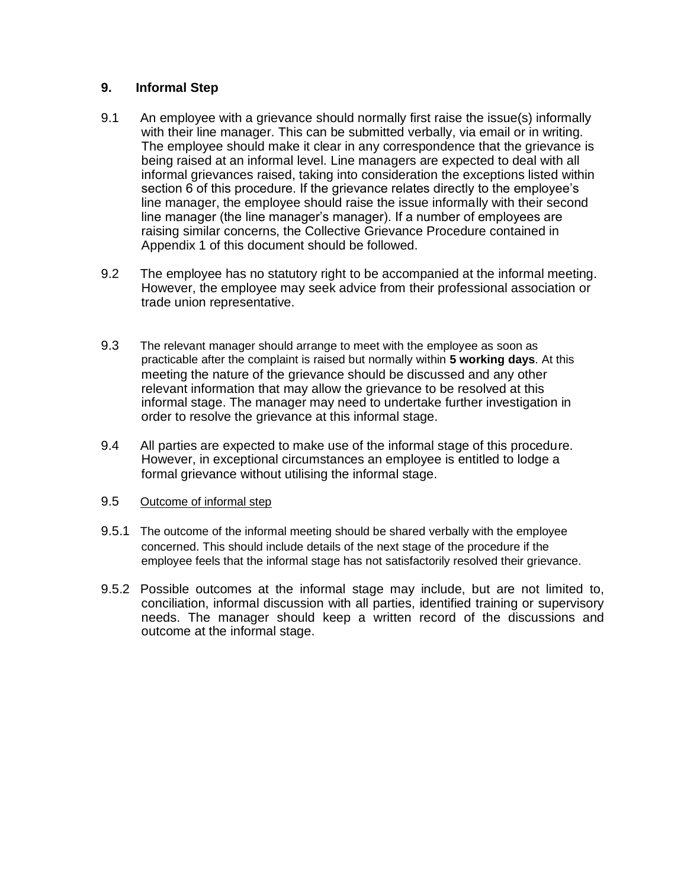# **9. Informal Step**

- 9.1 An employee with a grievance should normally first raise the issue(s) informally with their line manager. This can be submitted verbally, via email or in writing. The employee should make it clear in any correspondence that the grievance is being raised at an informal level. Line managers are expected to deal with all informal grievances raised, taking into consideration the exceptions listed within section 6 of this procedure. If the grievance relates directly to the employee's line manager, the employee should raise the issue informally with their second line manager (the line manager's manager). If a number of employees are raising similar concerns, the Collective Grievance Procedure contained in Appendix 1 of this document should be followed.
- 9.2 The employee has no statutory right to be accompanied at the informal meeting. However, the employee may seek advice from their professional association or trade union representative.
- 9.3 The relevant manager should arrange to meet with the employee as soon as practicable after the complaint is raised but normally within **5 working days**. At this meeting the nature of the grievance should be discussed and any other relevant information that may allow the grievance to be resolved at this informal stage. The manager may need to undertake further investigation in order to resolve the grievance at this informal stage.
- 9.4 All parties are expected to make use of the informal stage of this procedure. However, in exceptional circumstances an employee is entitled to lodge a formal grievance without utilising the informal stage.
- 9.5 Outcome of informal step
- 9.5.1 The outcome of the informal meeting should be shared verbally with the employee concerned. This should include details of the next stage of the procedure if the employee feels that the informal stage has not satisfactorily resolved their grievance.
- 9.5.2 Possible outcomes at the informal stage may include, but are not limited to, conciliation, informal discussion with all parties, identified training or supervisory needs. The manager should keep a written record of the discussions and outcome at the informal stage.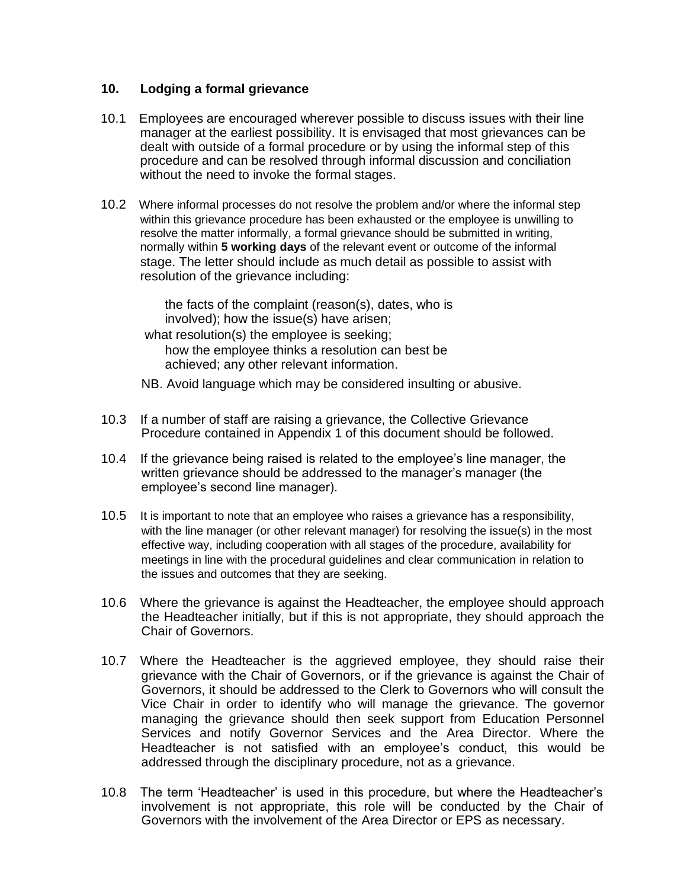#### **10. Lodging a formal grievance**

- 10.1 Employees are encouraged wherever possible to discuss issues with their line manager at the earliest possibility. It is envisaged that most grievances can be dealt with outside of a formal procedure or by using the informal step of this procedure and can be resolved through informal discussion and conciliation without the need to invoke the formal stages.
- 10.2 Where informal processes do not resolve the problem and/or where the informal step within this grievance procedure has been exhausted or the employee is unwilling to resolve the matter informally, a formal grievance should be submitted in writing, normally within **5 working days** of the relevant event or outcome of the informal stage. The letter should include as much detail as possible to assist with resolution of the grievance including:

the facts of the complaint (reason(s), dates, who is involved); how the issue(s) have arisen;

- what resolution(s) the employee is seeking; how the employee thinks a resolution can best be achieved; any other relevant information.
- NB. Avoid language which may be considered insulting or abusive.
- 10.3 If a number of staff are raising a grievance, the Collective Grievance Procedure contained in Appendix 1 of this document should be followed.
- 10.4 If the grievance being raised is related to the employee's line manager, the written grievance should be addressed to the manager's manager (the employee's second line manager).
- 10.5 It is important to note that an employee who raises a grievance has a responsibility, with the line manager (or other relevant manager) for resolving the issue(s) in the most effective way, including cooperation with all stages of the procedure, availability for meetings in line with the procedural guidelines and clear communication in relation to the issues and outcomes that they are seeking.
- 10.6 Where the grievance is against the Headteacher, the employee should approach the Headteacher initially, but if this is not appropriate, they should approach the Chair of Governors.
- 10.7 Where the Headteacher is the aggrieved employee, they should raise their grievance with the Chair of Governors, or if the grievance is against the Chair of Governors, it should be addressed to the Clerk to Governors who will consult the Vice Chair in order to identify who will manage the grievance. The governor managing the grievance should then seek support from Education Personnel Services and notify Governor Services and the Area Director. Where the Headteacher is not satisfied with an employee's conduct, this would be addressed through the disciplinary procedure, not as a grievance.
- 10.8 The term 'Headteacher' is used in this procedure, but where the Headteacher's involvement is not appropriate, this role will be conducted by the Chair of Governors with the involvement of the Area Director or EPS as necessary.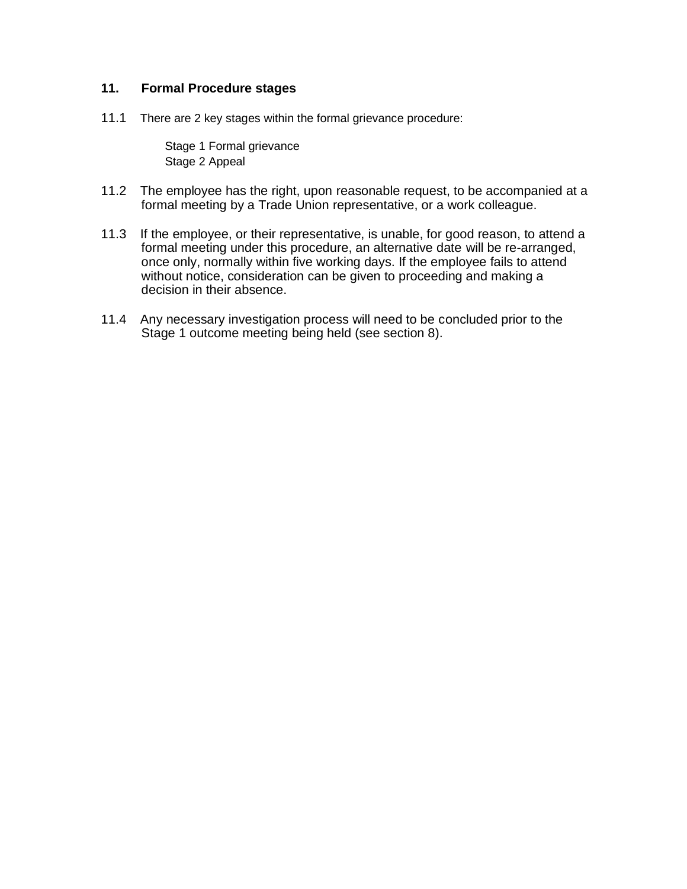# **11. Formal Procedure stages**

11.1 There are 2 key stages within the formal grievance procedure:

Stage 1 Formal grievance Stage 2 Appeal

- 11.2 The employee has the right, upon reasonable request, to be accompanied at a formal meeting by a Trade Union representative, or a work colleague.
- 11.3 If the employee, or their representative, is unable, for good reason, to attend a formal meeting under this procedure, an alternative date will be re-arranged, once only, normally within five working days. If the employee fails to attend without notice, consideration can be given to proceeding and making a decision in their absence.
- 11.4 Any necessary investigation process will need to be concluded prior to the Stage 1 outcome meeting being held (see section 8).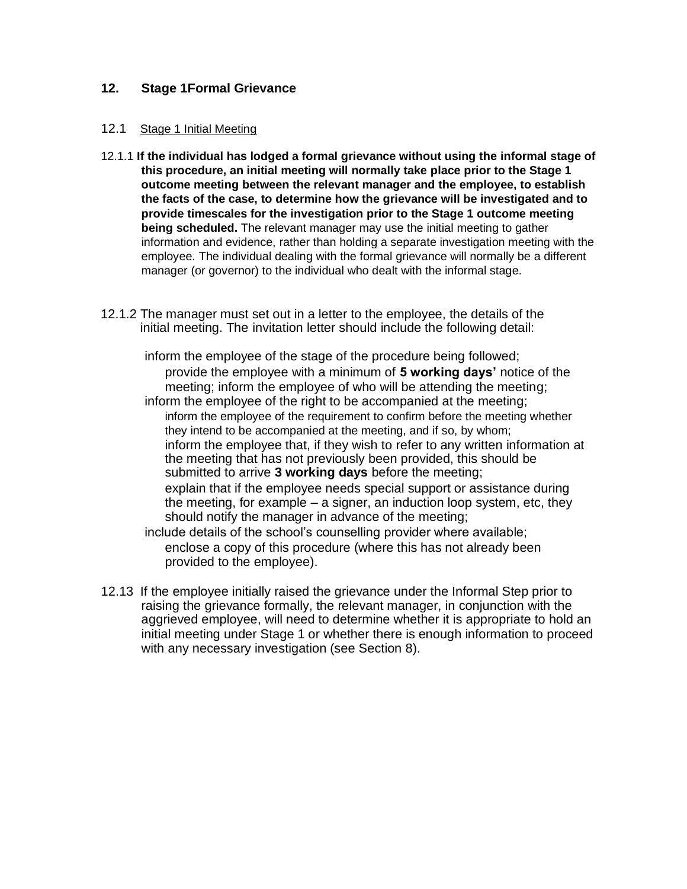# **12. Stage 1Formal Grievance**

#### 12.1 Stage 1 Initial Meeting

- 12.1.1 **If the individual has lodged a formal grievance without using the informal stage of this procedure, an initial meeting will normally take place prior to the Stage 1 outcome meeting between the relevant manager and the employee, to establish the facts of the case, to determine how the grievance will be investigated and to provide timescales for the investigation prior to the Stage 1 outcome meeting being scheduled.** The relevant manager may use the initial meeting to gather information and evidence, rather than holding a separate investigation meeting with the employee. The individual dealing with the formal grievance will normally be a different manager (or governor) to the individual who dealt with the informal stage.
- 12.1.2 The manager must set out in a letter to the employee, the details of the initial meeting. The invitation letter should include the following detail:

inform the employee of the stage of the procedure being followed; provide the employee with a minimum of **5 working days'** notice of the meeting; inform the employee of who will be attending the meeting;

inform the employee of the right to be accompanied at the meeting; inform the employee of the requirement to confirm before the meeting whether they intend to be accompanied at the meeting, and if so, by whom; inform the employee that, if they wish to refer to any written information at the meeting that has not previously been provided, this should be submitted to arrive **3 working days** before the meeting;

explain that if the employee needs special support or assistance during the meeting, for example – a signer, an induction loop system, etc, they should notify the manager in advance of the meeting;

include details of the school's counselling provider where available; enclose a copy of this procedure (where this has not already been provided to the employee).

12.13 If the employee initially raised the grievance under the Informal Step prior to raising the grievance formally, the relevant manager, in conjunction with the aggrieved employee, will need to determine whether it is appropriate to hold an initial meeting under Stage 1 or whether there is enough information to proceed with any necessary investigation (see Section 8).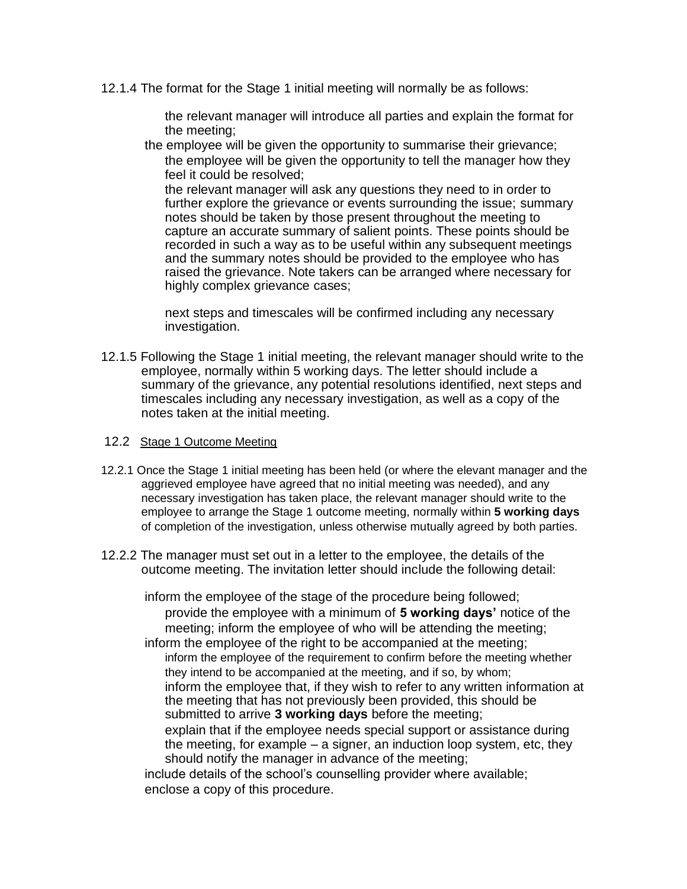12.1.4 The format for the Stage 1 initial meeting will normally be as follows:

the relevant manager will introduce all parties and explain the format for the meeting;

the employee will be given the opportunity to summarise their grievance; the employee will be given the opportunity to tell the manager how they feel it could be resolved;

the relevant manager will ask any questions they need to in order to further explore the grievance or events surrounding the issue; summary notes should be taken by those present throughout the meeting to capture an accurate summary of salient points. These points should be recorded in such a way as to be useful within any subsequent meetings and the summary notes should be provided to the employee who has raised the grievance. Note takers can be arranged where necessary for highly complex grievance cases;

next steps and timescales will be confirmed including any necessary investigation.

- 12.1.5 Following the Stage 1 initial meeting, the relevant manager should write to the employee, normally within 5 working days. The letter should include a summary of the grievance, any potential resolutions identified, next steps and timescales including any necessary investigation, as well as a copy of the notes taken at the initial meeting.
- 12.2 Stage 1 Outcome Meeting
- 12.2.1 Once the Stage 1 initial meeting has been held (or where the elevant manager and the aggrieved employee have agreed that no initial meeting was needed), and any necessary investigation has taken place, the relevant manager should write to the employee to arrange the Stage 1 outcome meeting, normally within **5 working days** of completion of the investigation, unless otherwise mutually agreed by both parties.
- 12.2.2 The manager must set out in a letter to the employee, the details of the outcome meeting. The invitation letter should include the following detail:

inform the employee of the stage of the procedure being followed;

provide the employee with a minimum of **5 working days'** notice of the meeting; inform the employee of who will be attending the meeting;

inform the employee of the right to be accompanied at the meeting; inform the employee of the requirement to confirm before the meeting whether they intend to be accompanied at the meeting, and if so, by whom; inform the employee that, if they wish to refer to any written information at the meeting that has not previously been provided, this should be submitted to arrive **3 working days** before the meeting;

explain that if the employee needs special support or assistance during the meeting, for example – a signer, an induction loop system, etc, they should notify the manager in advance of the meeting;

include details of the school's counselling provider where available; enclose a copy of this procedure.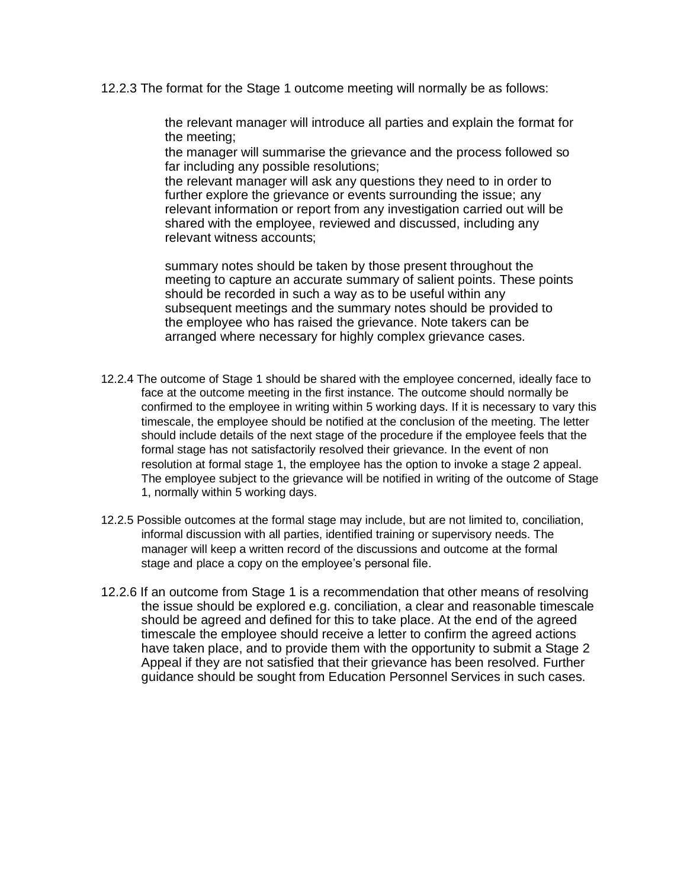12.2.3 The format for the Stage 1 outcome meeting will normally be as follows:

the relevant manager will introduce all parties and explain the format for the meeting;

the manager will summarise the grievance and the process followed so far including any possible resolutions;

the relevant manager will ask any questions they need to in order to further explore the grievance or events surrounding the issue; any relevant information or report from any investigation carried out will be shared with the employee, reviewed and discussed, including any relevant witness accounts;

summary notes should be taken by those present throughout the meeting to capture an accurate summary of salient points. These points should be recorded in such a way as to be useful within any subsequent meetings and the summary notes should be provided to the employee who has raised the grievance. Note takers can be arranged where necessary for highly complex grievance cases.

- 12.2.4 The outcome of Stage 1 should be shared with the employee concerned, ideally face to face at the outcome meeting in the first instance. The outcome should normally be confirmed to the employee in writing within 5 working days. If it is necessary to vary this timescale, the employee should be notified at the conclusion of the meeting. The letter should include details of the next stage of the procedure if the employee feels that the formal stage has not satisfactorily resolved their grievance. In the event of non resolution at formal stage 1, the employee has the option to invoke a stage 2 appeal. The employee subject to the grievance will be notified in writing of the outcome of Stage 1, normally within 5 working days.
- 12.2.5 Possible outcomes at the formal stage may include, but are not limited to, conciliation, informal discussion with all parties, identified training or supervisory needs. The manager will keep a written record of the discussions and outcome at the formal stage and place a copy on the employee's personal file.
- 12.2.6 If an outcome from Stage 1 is a recommendation that other means of resolving the issue should be explored e.g. conciliation, a clear and reasonable timescale should be agreed and defined for this to take place. At the end of the agreed timescale the employee should receive a letter to confirm the agreed actions have taken place, and to provide them with the opportunity to submit a Stage 2 Appeal if they are not satisfied that their grievance has been resolved. Further guidance should be sought from Education Personnel Services in such cases.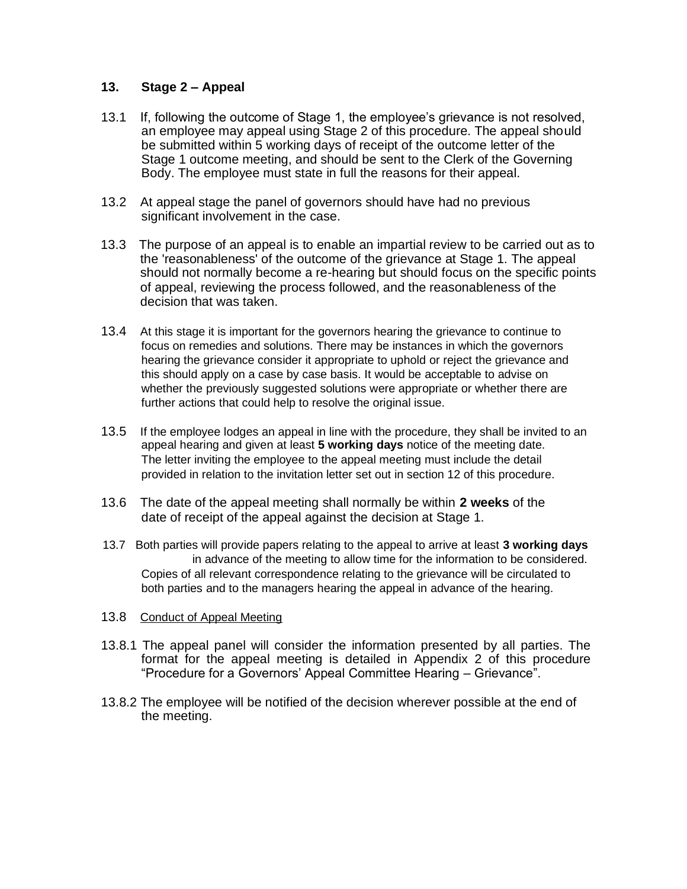# **13. Stage 2 – Appeal**

- 13.1 If, following the outcome of Stage 1, the employee's grievance is not resolved, an employee may appeal using Stage 2 of this procedure. The appeal should be submitted within 5 working days of receipt of the outcome letter of the Stage 1 outcome meeting, and should be sent to the Clerk of the Governing Body. The employee must state in full the reasons for their appeal.
- 13.2 At appeal stage the panel of governors should have had no previous significant involvement in the case.
- 13.3 The purpose of an appeal is to enable an impartial review to be carried out as to the 'reasonableness' of the outcome of the grievance at Stage 1. The appeal should not normally become a re-hearing but should focus on the specific points of appeal, reviewing the process followed, and the reasonableness of the decision that was taken.
- 13.4 At this stage it is important for the governors hearing the grievance to continue to focus on remedies and solutions. There may be instances in which the governors hearing the grievance consider it appropriate to uphold or reject the grievance and this should apply on a case by case basis. It would be acceptable to advise on whether the previously suggested solutions were appropriate or whether there are further actions that could help to resolve the original issue.
- 13.5 If the employee lodges an appeal in line with the procedure, they shall be invited to an appeal hearing and given at least **5 working days** notice of the meeting date. The letter inviting the employee to the appeal meeting must include the detail provided in relation to the invitation letter set out in section 12 of this procedure.
- 13.6 The date of the appeal meeting shall normally be within **2 weeks** of the date of receipt of the appeal against the decision at Stage 1.
- 13.7 Both parties will provide papers relating to the appeal to arrive at least **3 working days**  in advance of the meeting to allow time for the information to be considered. Copies of all relevant correspondence relating to the grievance will be circulated to both parties and to the managers hearing the appeal in advance of the hearing.

#### 13.8 Conduct of Appeal Meeting

- 13.8.1 The appeal panel will consider the information presented by all parties. The format for the appeal meeting is detailed in Appendix 2 of this procedure "Procedure for a Governors' Appeal Committee Hearing – Grievance".
- 13.8.2 The employee will be notified of the decision wherever possible at the end of the meeting.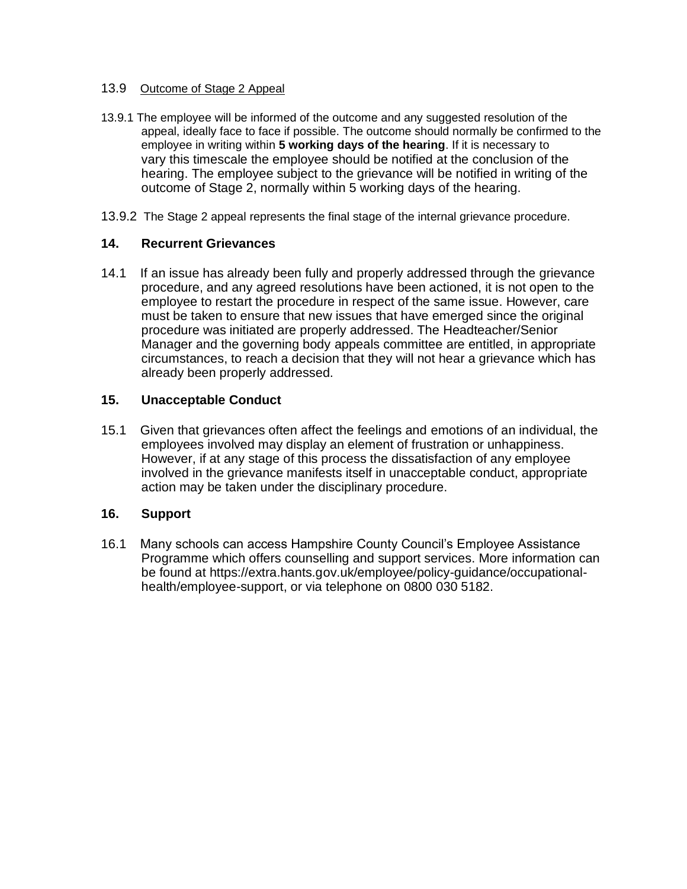#### 13.9 Outcome of Stage 2 Appeal

- 13.9.1 The employee will be informed of the outcome and any suggested resolution of the appeal, ideally face to face if possible. The outcome should normally be confirmed to the employee in writing within **5 working days of the hearing**. If it is necessary to vary this timescale the employee should be notified at the conclusion of the hearing. The employee subject to the grievance will be notified in writing of the outcome of Stage 2, normally within 5 working days of the hearing.
- 13.9.2 The Stage 2 appeal represents the final stage of the internal grievance procedure.

#### **14. Recurrent Grievances**

14.1 If an issue has already been fully and properly addressed through the grievance procedure, and any agreed resolutions have been actioned, it is not open to the employee to restart the procedure in respect of the same issue. However, care must be taken to ensure that new issues that have emerged since the original procedure was initiated are properly addressed. The Headteacher/Senior Manager and the governing body appeals committee are entitled, in appropriate circumstances, to reach a decision that they will not hear a grievance which has already been properly addressed.

#### **15. Unacceptable Conduct**

15.1 Given that grievances often affect the feelings and emotions of an individual, the employees involved may display an element of frustration or unhappiness. However, if at any stage of this process the dissatisfaction of any employee involved in the grievance manifests itself in unacceptable conduct, appropriate action may be taken under the disciplinary procedure.

## **16. Support**

16.1 Many schools can access Hampshire County Council's Employee Assistance Programme which offers counselling and support services. More information can be found at https://extra.hants.gov.uk/employee/policy-guidance/occupationalhealth/employee-support, or via telephone on 0800 030 5182.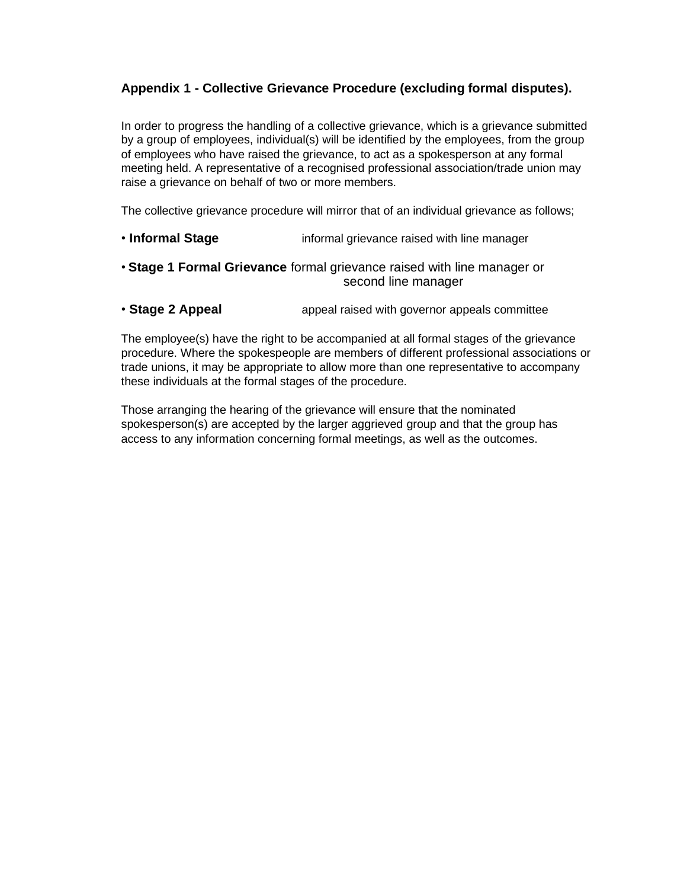# **Appendix 1 - Collective Grievance Procedure (excluding formal disputes).**

In order to progress the handling of a collective grievance, which is a grievance submitted by a group of employees, individual(s) will be identified by the employees, from the group of employees who have raised the grievance, to act as a spokesperson at any formal meeting held. A representative of a recognised professional association/trade union may raise a grievance on behalf of two or more members.

The collective grievance procedure will mirror that of an individual grievance as follows;

- **Informal Stage informal grievance raised with line manager**
- **Stage 1 Formal Grievance** formal grievance raised with line manager or second line manager
- **Stage 2 Appeal appeal raised with governor appeals committee**

The employee(s) have the right to be accompanied at all formal stages of the grievance procedure. Where the spokespeople are members of different professional associations or trade unions, it may be appropriate to allow more than one representative to accompany these individuals at the formal stages of the procedure.

Those arranging the hearing of the grievance will ensure that the nominated spokesperson(s) are accepted by the larger aggrieved group and that the group has access to any information concerning formal meetings, as well as the outcomes.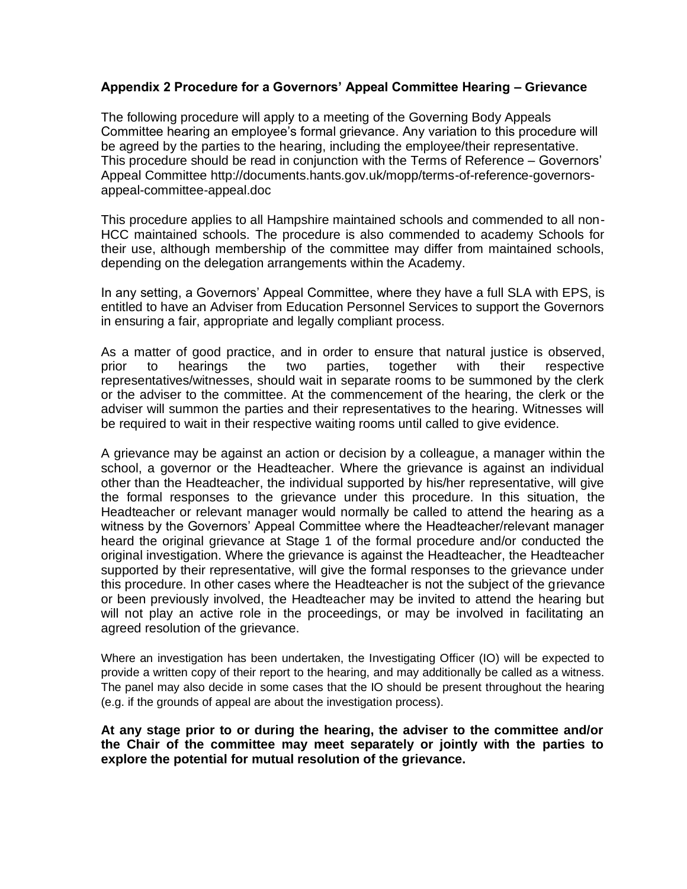# **Appendix 2 Procedure for a Governors' Appeal Committee Hearing – Grievance**

The following procedure will apply to a meeting of the Governing Body Appeals Committee hearing an employee's formal grievance. Any variation to this procedure will be agreed by the parties to the hearing, including the employee/their representative. This procedure should be read in conjunction with the Terms of Reference – Governors' Appeal Committee http://documents.hants.gov.uk/mopp/terms-of-reference-governorsappeal-committee-appeal.doc

This procedure applies to all Hampshire maintained schools and commended to all non-HCC maintained schools. The procedure is also commended to academy Schools for their use, although membership of the committee may differ from maintained schools, depending on the delegation arrangements within the Academy.

In any setting, a Governors' Appeal Committee, where they have a full SLA with EPS, is entitled to have an Adviser from Education Personnel Services to support the Governors in ensuring a fair, appropriate and legally compliant process.

As a matter of good practice, and in order to ensure that natural justice is observed, prior to hearings the two parties, together with their respective representatives/witnesses, should wait in separate rooms to be summoned by the clerk or the adviser to the committee. At the commencement of the hearing, the clerk or the adviser will summon the parties and their representatives to the hearing. Witnesses will be required to wait in their respective waiting rooms until called to give evidence.

A grievance may be against an action or decision by a colleague, a manager within the school, a governor or the Headteacher. Where the grievance is against an individual other than the Headteacher, the individual supported by his/her representative, will give the formal responses to the grievance under this procedure. In this situation, the Headteacher or relevant manager would normally be called to attend the hearing as a witness by the Governors' Appeal Committee where the Headteacher/relevant manager heard the original grievance at Stage 1 of the formal procedure and/or conducted the original investigation. Where the grievance is against the Headteacher, the Headteacher supported by their representative, will give the formal responses to the grievance under this procedure. In other cases where the Headteacher is not the subject of the grievance or been previously involved, the Headteacher may be invited to attend the hearing but will not play an active role in the proceedings, or may be involved in facilitating an agreed resolution of the grievance.

Where an investigation has been undertaken, the Investigating Officer (IO) will be expected to provide a written copy of their report to the hearing, and may additionally be called as a witness. The panel may also decide in some cases that the IO should be present throughout the hearing (e.g. if the grounds of appeal are about the investigation process).

**At any stage prior to or during the hearing, the adviser to the committee and/or the Chair of the committee may meet separately or jointly with the parties to explore the potential for mutual resolution of the grievance.**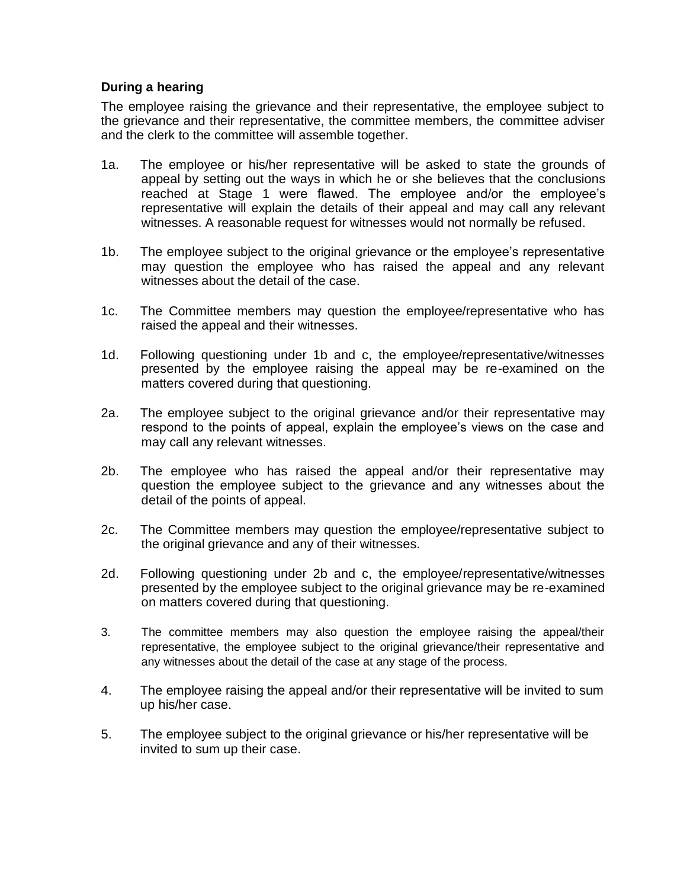# **During a hearing**

The employee raising the grievance and their representative, the employee subject to the grievance and their representative, the committee members, the committee adviser and the clerk to the committee will assemble together.

- 1a. The employee or his/her representative will be asked to state the grounds of appeal by setting out the ways in which he or she believes that the conclusions reached at Stage 1 were flawed. The employee and/or the employee's representative will explain the details of their appeal and may call any relevant witnesses. A reasonable request for witnesses would not normally be refused.
- 1b. The employee subject to the original grievance or the employee's representative may question the employee who has raised the appeal and any relevant witnesses about the detail of the case.
- 1c. The Committee members may question the employee/representative who has raised the appeal and their witnesses.
- 1d. Following questioning under 1b and c, the employee/representative/witnesses presented by the employee raising the appeal may be re-examined on the matters covered during that questioning.
- 2a. The employee subject to the original grievance and/or their representative may respond to the points of appeal, explain the employee's views on the case and may call any relevant witnesses.
- 2b. The employee who has raised the appeal and/or their representative may question the employee subject to the grievance and any witnesses about the detail of the points of appeal.
- 2c. The Committee members may question the employee/representative subject to the original grievance and any of their witnesses.
- 2d. Following questioning under 2b and c, the employee/representative/witnesses presented by the employee subject to the original grievance may be re-examined on matters covered during that questioning.
- 3. The committee members may also question the employee raising the appeal/their representative, the employee subject to the original grievance/their representative and any witnesses about the detail of the case at any stage of the process.
- 4. The employee raising the appeal and/or their representative will be invited to sum up his/her case.
- 5. The employee subject to the original grievance or his/her representative will be invited to sum up their case.